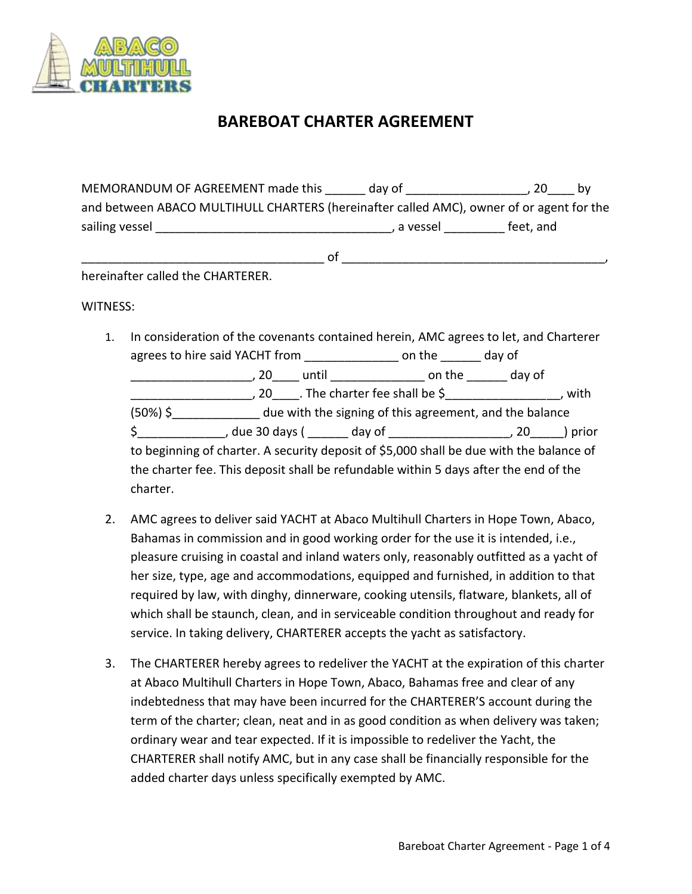

## **BAREBOAT CHARTER AGREEMENT**

|                | MEMORANDUM OF AGREEMENT made this                                                        | day of     | 20<br>- bv |  |
|----------------|------------------------------------------------------------------------------------------|------------|------------|--|
|                | and between ABACO MULTIHULL CHARTERS (hereinafter called AMC), owner of or agent for the |            |            |  |
| sailing vessel |                                                                                          | . a vessel | feet, and  |  |

\_\_\_\_\_\_\_\_\_\_\_\_\_\_\_\_\_\_\_\_\_\_\_\_\_\_\_\_\_\_\_\_\_\_\_\_ of \_\_\_\_\_\_\_\_\_\_\_\_\_\_\_\_\_\_\_\_\_\_\_\_\_\_\_\_\_\_\_\_\_\_\_\_\_\_\_,

hereinafter called the CHARTERER.

WITNESS:

- 1. In consideration of the covenants contained herein, AMC agrees to let, and Charterer agrees to hire said YACHT from The Languagness to hire said YACHT from \_\_\_\_\_\_\_\_\_\_\_\_\_\_\_\_\_\_, 20\_\_\_\_ until \_\_\_\_\_\_\_\_\_\_\_\_\_\_ on the \_\_\_\_\_\_ day of \_\_\_\_\_\_\_\_\_\_\_\_\_\_\_\_\_\_, 20\_\_\_\_. The charter fee shall be \$\_\_\_\_\_\_\_\_\_\_\_\_\_\_\_\_\_, with (50%) \$\_\_\_\_\_\_\_\_\_\_\_\_\_ due with the signing of this agreement, and the balance \$\_\_\_\_\_\_\_\_\_\_\_\_\_, due 30 days ( \_\_\_\_\_\_ day of \_\_\_\_\_\_\_\_\_\_\_\_\_\_\_\_\_\_, 20\_\_\_\_\_) prior to beginning of charter. A security deposit of \$5,000 shall be due with the balance of the charter fee. This deposit shall be refundable within 5 days after the end of the charter.
- 2. AMC agrees to deliver said YACHT at Abaco Multihull Charters in Hope Town, Abaco, Bahamas in commission and in good working order for the use it is intended, i.e., pleasure cruising in coastal and inland waters only, reasonably outfitted as a yacht of her size, type, age and accommodations, equipped and furnished, in addition to that required by law, with dinghy, dinnerware, cooking utensils, flatware, blankets, all of which shall be staunch, clean, and in serviceable condition throughout and ready for service. In taking delivery, CHARTERER accepts the yacht as satisfactory.
- 3. The CHARTERER hereby agrees to redeliver the YACHT at the expiration of this charter at Abaco Multihull Charters in Hope Town, Abaco, Bahamas free and clear of any indebtedness that may have been incurred for the CHARTERER'S account during the term of the charter; clean, neat and in as good condition as when delivery was taken; ordinary wear and tear expected. If it is impossible to redeliver the Yacht, the CHARTERER shall notify AMC, but in any case shall be financially responsible for the added charter days unless specifically exempted by AMC.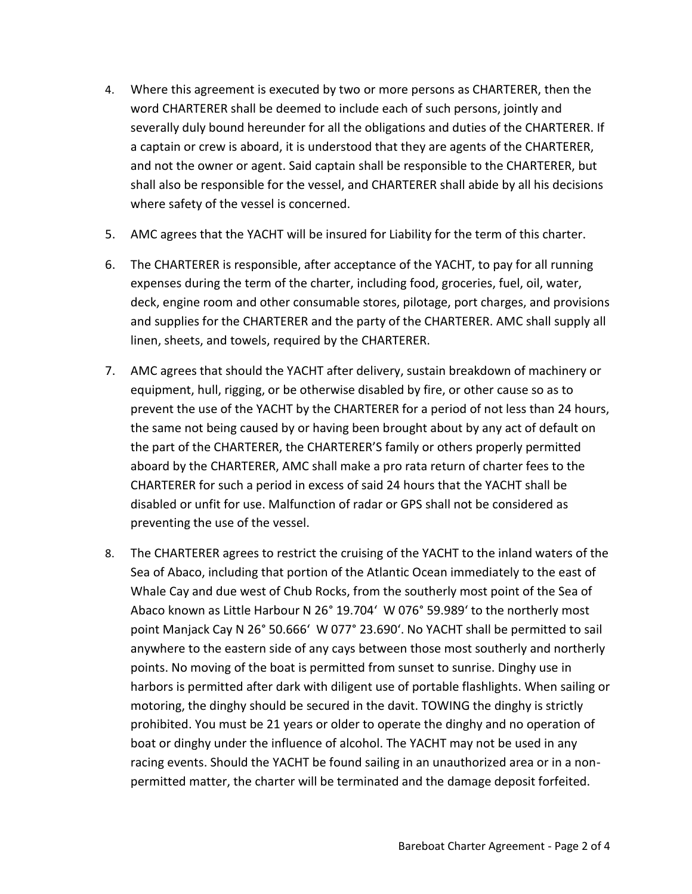- 4. Where this agreement is executed by two or more persons as CHARTERER, then the word CHARTERER shall be deemed to include each of such persons, jointly and severally duly bound hereunder for all the obligations and duties of the CHARTERER. If a captain or crew is aboard, it is understood that they are agents of the CHARTERER, and not the owner or agent. Said captain shall be responsible to the CHARTERER, but shall also be responsible for the vessel, and CHARTERER shall abide by all his decisions where safety of the vessel is concerned.
- 5. AMC agrees that the YACHT will be insured for Liability for the term of this charter.
- 6. The CHARTERER is responsible, after acceptance of the YACHT, to pay for all running expenses during the term of the charter, including food, groceries, fuel, oil, water, deck, engine room and other consumable stores, pilotage, port charges, and provisions and supplies for the CHARTERER and the party of the CHARTERER. AMC shall supply all linen, sheets, and towels, required by the CHARTERER.
- 7. AMC agrees that should the YACHT after delivery, sustain breakdown of machinery or equipment, hull, rigging, or be otherwise disabled by fire, or other cause so as to prevent the use of the YACHT by the CHARTERER for a period of not less than 24 hours, the same not being caused by or having been brought about by any act of default on the part of the CHARTERER, the CHARTERER'S family or others properly permitted aboard by the CHARTERER, AMC shall make a pro rata return of charter fees to the CHARTERER for such a period in excess of said 24 hours that the YACHT shall be disabled or unfit for use. Malfunction of radar or GPS shall not be considered as preventing the use of the vessel.
- 8. The CHARTERER agrees to restrict the cruising of the YACHT to the inland waters of the Sea of Abaco, including that portion of the Atlantic Ocean immediately to the east of Whale Cay and due west of Chub Rocks, from the southerly most point of the Sea of Abaco known as Little Harbour N 26° 19.704' W 076° 59.989' to the northerly most point Manjack Cay N 26° 50.666' W 077° 23.690'. No YACHT shall be permitted to sail anywhere to the eastern side of any cays between those most southerly and northerly points. No moving of the boat is permitted from sunset to sunrise. Dinghy use in harbors is permitted after dark with diligent use of portable flashlights. When sailing or motoring, the dinghy should be secured in the davit. TOWING the dinghy is strictly prohibited. You must be 21 years or older to operate the dinghy and no operation of boat or dinghy under the influence of alcohol. The YACHT may not be used in any racing events. Should the YACHT be found sailing in an unauthorized area or in a nonpermitted matter, the charter will be terminated and the damage deposit forfeited.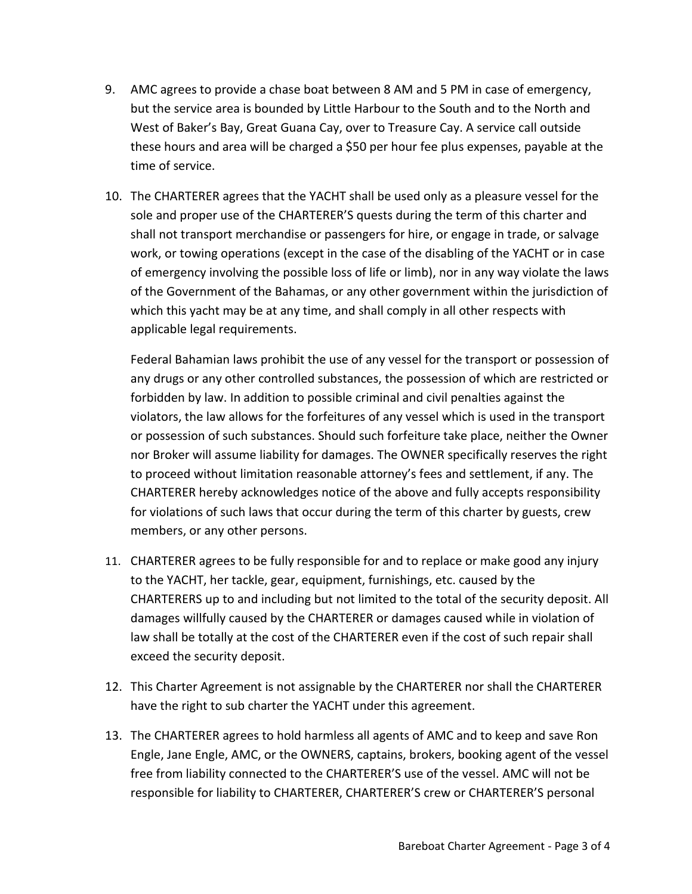- 9. AMC agrees to provide a chase boat between 8 AM and 5 PM in case of emergency, but the service area is bounded by Little Harbour to the South and to the North and West of Baker's Bay, Great Guana Cay, over to Treasure Cay. A service call outside these hours and area will be charged a \$50 per hour fee plus expenses, payable at the time of service.
- 10. The CHARTERER agrees that the YACHT shall be used only as a pleasure vessel for the sole and proper use of the CHARTERER'S quests during the term of this charter and shall not transport merchandise or passengers for hire, or engage in trade, or salvage work, or towing operations (except in the case of the disabling of the YACHT or in case of emergency involving the possible loss of life or limb), nor in any way violate the laws of the Government of the Bahamas, or any other government within the jurisdiction of which this yacht may be at any time, and shall comply in all other respects with applicable legal requirements.

Federal Bahamian laws prohibit the use of any vessel for the transport or possession of any drugs or any other controlled substances, the possession of which are restricted or forbidden by law. In addition to possible criminal and civil penalties against the violators, the law allows for the forfeitures of any vessel which is used in the transport or possession of such substances. Should such forfeiture take place, neither the Owner nor Broker will assume liability for damages. The OWNER specifically reserves the right to proceed without limitation reasonable attorney's fees and settlement, if any. The CHARTERER hereby acknowledges notice of the above and fully accepts responsibility for violations of such laws that occur during the term of this charter by guests, crew members, or any other persons.

- 11. CHARTERER agrees to be fully responsible for and to replace or make good any injury to the YACHT, her tackle, gear, equipment, furnishings, etc. caused by the CHARTERERS up to and including but not limited to the total of the security deposit. All damages willfully caused by the CHARTERER or damages caused while in violation of law shall be totally at the cost of the CHARTERER even if the cost of such repair shall exceed the security deposit.
- 12. This Charter Agreement is not assignable by the CHARTERER nor shall the CHARTERER have the right to sub charter the YACHT under this agreement.
- 13. The CHARTERER agrees to hold harmless all agents of AMC and to keep and save Ron Engle, Jane Engle, AMC, or the OWNERS, captains, brokers, booking agent of the vessel free from liability connected to the CHARTERER'S use of the vessel. AMC will not be responsible for liability to CHARTERER, CHARTERER'S crew or CHARTERER'S personal